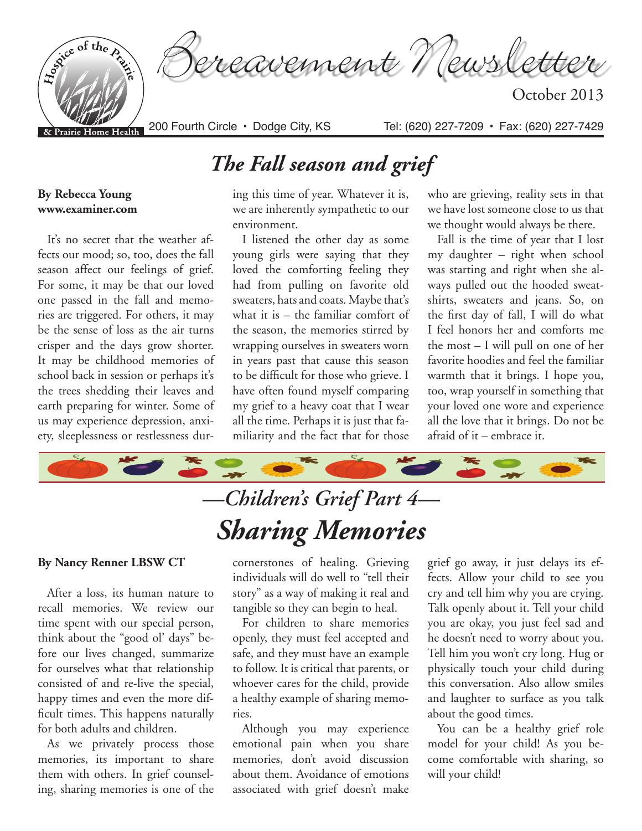

# *The Fall season and grief*

#### **By Rebecca Young www.examiner.com**

It's no secret that the weather affects our mood; so, too, does the fall season affect our feelings of grief. For some, it may be that our loved one passed in the fall and memories are triggered. For others, it may be the sense of loss as the air turns crisper and the days grow shorter. It may be childhood memories of school back in session or perhaps it's the trees shedding their leaves and earth preparing for winter. Some of us may experience depression, anxiety, sleeplessness or restlessness dur-

### ing this time of year. Whatever it is, we are inherently sympathetic to our

environment. I listened the other day as some young girls were saying that they loved the comforting feeling they had from pulling on favorite old sweaters, hats and coats. Maybe that's what it is – the familiar comfort of the season, the memories stirred by wrapping ourselves in sweaters worn in years past that cause this season to be difficult for those who grieve. I have often found myself comparing my grief to a heavy coat that I wear all the time. Perhaps it is just that familiarity and the fact that for those

who are grieving, reality sets in that we have lost someone close to us that we thought would always be there.

Fall is the time of year that I lost my daughter – right when school was starting and right when she always pulled out the hooded sweatshirts, sweaters and jeans. So, on the first day of fall, I will do what I feel honors her and comforts me the most – I will pull on one of her favorite hoodies and feel the familiar warmth that it brings. I hope you, too, wrap yourself in something that your loved one wore and experience all the love that it brings. Do not be afraid of it – embrace it.



#### **By Nancy Renner LBSW CT**

After a loss, its human nature to recall memories. We review our time spent with our special person, think about the "good ol' days" before our lives changed, summarize for ourselves what that relationship consisted of and re-live the special, happy times and even the more difficult times. This happens naturally for both adults and children.

As we privately process those memories, its important to share them with others. In grief counseling, sharing memories is one of the

cornerstones of healing. Grieving individuals will do well to "tell their story" as a way of making it real and tangible so they can begin to heal.

For children to share memories openly, they must feel accepted and safe, and they must have an example to follow. It is critical that parents, or whoever cares for the child, provide a healthy example of sharing memories.

Although you may experience emotional pain when you share memories, don't avoid discussion about them. Avoidance of emotions associated with grief doesn't make

grief go away, it just delays its effects. Allow your child to see you cry and tell him why you are crying. Talk openly about it. Tell your child you are okay, you just feel sad and he doesn't need to worry about you. Tell him you won't cry long. Hug or physically touch your child during this conversation. Also allow smiles and laughter to surface as you talk about the good times.

You can be a healthy grief role model for your child! As you become comfortable with sharing, so will your child!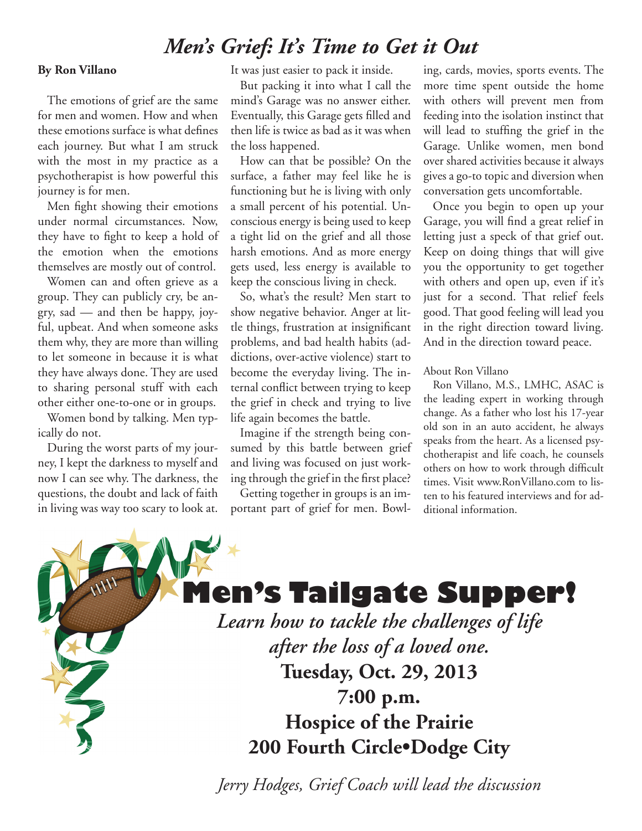### *Men's Grief: It's Time to Get it Out*

#### **By Ron Villano**

The emotions of grief are the same for men and women. How and when these emotions surface is what defines each journey. But what I am struck with the most in my practice as a psychotherapist is how powerful this journey is for men.

Men fight showing their emotions under normal circumstances. Now, they have to fight to keep a hold of the emotion when the emotions themselves are mostly out of control.

Women can and often grieve as a group. They can publicly cry, be angry, sad — and then be happy, joyful, upbeat. And when someone asks them why, they are more than willing to let someone in because it is what they have always done. They are used to sharing personal stuff with each other either one-to-one or in groups.

Women bond by talking. Men typically do not.

During the worst parts of my journey, I kept the darkness to myself and now I can see why. The darkness, the questions, the doubt and lack of faith in living was way too scary to look at. It was just easier to pack it inside.

But packing it into what I call the mind's Garage was no answer either. Eventually, this Garage gets filled and then life is twice as bad as it was when the loss happened.

How can that be possible? On the surface, a father may feel like he is functioning but he is living with only a small percent of his potential. Unconscious energy is being used to keep a tight lid on the grief and all those harsh emotions. And as more energy gets used, less energy is available to keep the conscious living in check.

So, what's the result? Men start to show negative behavior. Anger at little things, frustration at insignificant problems, and bad health habits (addictions, over-active violence) start to become the everyday living. The internal conflict between trying to keep the grief in check and trying to live life again becomes the battle.

Imagine if the strength being consumed by this battle between grief and living was focused on just working through the grief in the first place?

Getting together in groups is an important part of grief for men. Bowling, cards, movies, sports events. The more time spent outside the home with others will prevent men from feeding into the isolation instinct that will lead to stuffing the grief in the Garage. Unlike women, men bond over shared activities because it always gives a go-to topic and diversion when conversation gets uncomfortable.

Once you begin to open up your Garage, you will find a great relief in letting just a speck of that grief out. Keep on doing things that will give you the opportunity to get together with others and open up, even if it's just for a second. That relief feels good. That good feeling will lead you in the right direction toward living. And in the direction toward peace.

About Ron Villano

Ron Villano, M.S., LMHC, ASAC is the leading expert in working through change. As a father who lost his 17-year old son in an auto accident, he always speaks from the heart. As a licensed psychotherapist and life coach, he counsels others on how to work through difficult times. Visit www.RonVillano.com to listen to his featured interviews and for additional information.



*Jerry Hodges, Grief Coach will lead the discussion*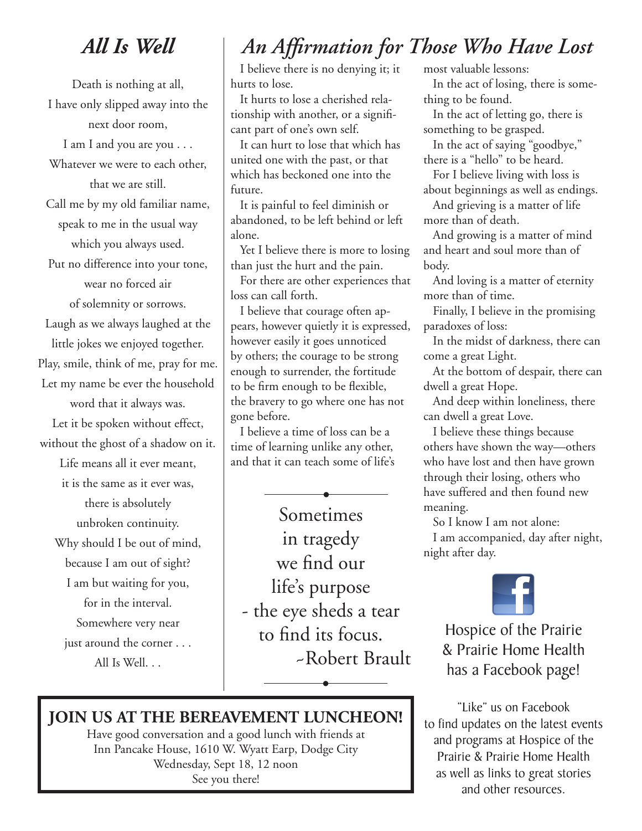# *All Is Well*

Death is nothing at all, I have only slipped away into the next door room, I am I and you are you . . .

Whatever we were to each other,

that we are still.

Call me by my old familiar name, speak to me in the usual way

which you always used.

Put no difference into your tone,

wear no forced air

of solemnity or sorrows.

Laugh as we always laughed at the little jokes we enjoyed together. Play, smile, think of me, pray for me. Let my name be ever the household

word that it always was.

Let it be spoken without effect, without the ghost of a shadow on it.

Life means all it ever meant, it is the same as it ever was,

there is absolutely unbroken continuity. Why should I be out of mind, because I am out of sight? I am but waiting for you, for in the interval. Somewhere very near just around the corner . . .

All Is Well. . .

# *An Affirmation for Those Who Have Lost*

I believe there is no denying it; it hurts to lose.

It hurts to lose a cherished relationship with another, or a significant part of one's own self.

It can hurt to lose that which has united one with the past, or that which has beckoned one into the future.

It is painful to feel diminish or abandoned, to be left behind or left alone.

Yet I believe there is more to losing than just the hurt and the pain.

For there are other experiences that loss can call forth.

I believe that courage often appears, however quietly it is expressed, however easily it goes unnoticed by others; the courage to be strong enough to surrender, the fortitude to be firm enough to be flexible, the bravery to go where one has not gone before.

I believe a time of loss can be a time of learning unlike any other, and that it can teach some of life's

Sometimes in tragedy we find our life's purpose - the eye sheds a tear to find its focus. ~Robert Brault **•**

**•**

most valuable lessons:

In the act of losing, there is something to be found.

In the act of letting go, there is something to be grasped.

In the act of saying "goodbye," there is a "hello" to be heard.

For I believe living with loss is about beginnings as well as endings.

And grieving is a matter of life

more than of death.

And growing is a matter of mind and heart and soul more than of body.

And loving is a matter of eternity more than of time.

Finally, I believe in the promising paradoxes of loss:

In the midst of darkness, there can come a great Light.

At the bottom of despair, there can dwell a great Hope.

And deep within loneliness, there can dwell a great Love.

I believe these things because others have shown the way—others who have lost and then have grown through their losing, others who have suffered and then found new meaning.

So I know I am not alone:

I am accompanied, day after night, night after day.



Hospice of the Prairie & Prairie Home Health has a Facebook page!

"Like" us on Facebook to find updates on the latest events and programs at Hospice of the Prairie & Prairie Home Health as well as links to great stories and other resources.

### **JOIN US AT THE BEREAVEMENT LUNCHEON!**

Have good conversation and a good lunch with friends at Inn Pancake House, 1610 W. Wyatt Earp, Dodge City Wednesday, Sept 18, 12 noon See you there!